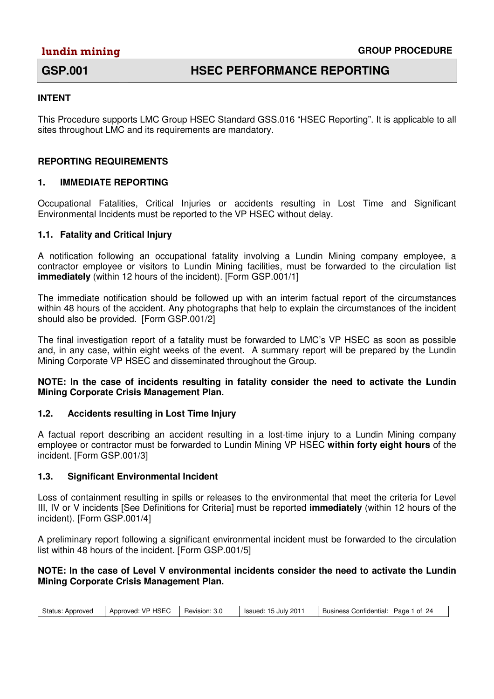### **INTENT**

This Procedure supports LMC Group HSEC Standard GSS.016 "HSEC Reporting". It is applicable to all sites throughout LMC and its requirements are mandatory.

### **REPORTING REQUIREMENTS**

### **1. IMMEDIATE REPORTING**

Occupational Fatalities, Critical Injuries or accidents resulting in Lost Time and Significant Environmental Incidents must be reported to the VP HSEC without delay.

### **1.1. Fatality and Critical Injury**

A notification following an occupational fatality involving a Lundin Mining company employee, a contractor employee or visitors to Lundin Mining facilities, must be forwarded to the circulation list **immediately** (within 12 hours of the incident). [Form GSP.001/1]

The immediate notification should be followed up with an interim factual report of the circumstances within 48 hours of the accident. Any photographs that help to explain the circumstances of the incident should also be provided. [Form GSP.001/2]

The final investigation report of a fatality must be forwarded to LMC's VP HSEC as soon as possible and, in any case, within eight weeks of the event. A summary report will be prepared by the Lundin Mining Corporate VP HSEC and disseminated throughout the Group.

### **NOTE: In the case of incidents resulting in fatality consider the need to activate the Lundin Mining Corporate Crisis Management Plan.**

### **1.2. Accidents resulting in Lost Time Injury**

A factual report describing an accident resulting in a lost-time injury to a Lundin Mining company employee or contractor must be forwarded to Lundin Mining VP HSEC **within forty eight hours** of the incident. [Form GSP.001/3]

### **1.3. Significant Environmental Incident**

Loss of containment resulting in spills or releases to the environmental that meet the criteria for Level III, IV or V incidents [See Definitions for Criteria] must be reported **immediately** (within 12 hours of the incident). [Form GSP.001/4]

A preliminary report following a significant environmental incident must be forwarded to the circulation list within 48 hours of the incident. [Form GSP.001/5]

### **NOTE: In the case of Level V environmental incidents consider the need to activate the Lundin Mining Corporate Crisis Management Plan.**

| Status: Approved | Approved: VP HSEC | Revision: 3.0 | Issued: 15 July 2011 | Business Confidential: Page 1 of 24 |
|------------------|-------------------|---------------|----------------------|-------------------------------------|
|------------------|-------------------|---------------|----------------------|-------------------------------------|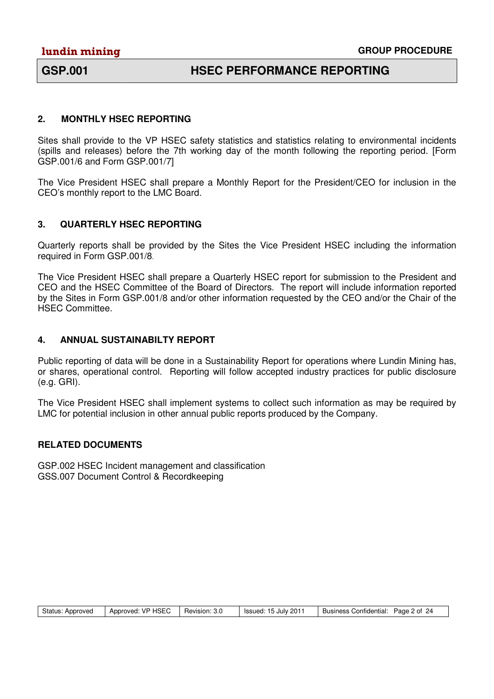### **2. MONTHLY HSEC REPORTING**

Sites shall provide to the VP HSEC safety statistics and statistics relating to environmental incidents (spills and releases) before the 7th working day of the month following the reporting period. [Form GSP.001/6 and Form GSP.001/7]

The Vice President HSEC shall prepare a Monthly Report for the President/CEO for inclusion in the CEO's monthly report to the LMC Board.

### **3. QUARTERLY HSEC REPORTING**

Quarterly reports shall be provided by the Sites the Vice President HSEC including the information required in Form GSP.001/8.

The Vice President HSEC shall prepare a Quarterly HSEC report for submission to the President and CEO and the HSEC Committee of the Board of Directors. The report will include information reported by the Sites in Form GSP.001/8 and/or other information requested by the CEO and/or the Chair of the HSEC Committee.

### **4. ANNUAL SUSTAINABILTY REPORT**

Public reporting of data will be done in a Sustainability Report for operations where Lundin Mining has, or shares, operational control. Reporting will follow accepted industry practices for public disclosure (e.g. GRI).

The Vice President HSEC shall implement systems to collect such information as may be required by LMC for potential inclusion in other annual public reports produced by the Company.

### **RELATED DOCUMENTS**

GSP.002 HSEC Incident management and classification GSS.007 Document Control & Recordkeeping

| Status: Approved | Approved: VP HSEC | Revision: 3.0 | Issued: 15 July 2011 | Business Confidential: Page 2 of 24 |
|------------------|-------------------|---------------|----------------------|-------------------------------------|
|------------------|-------------------|---------------|----------------------|-------------------------------------|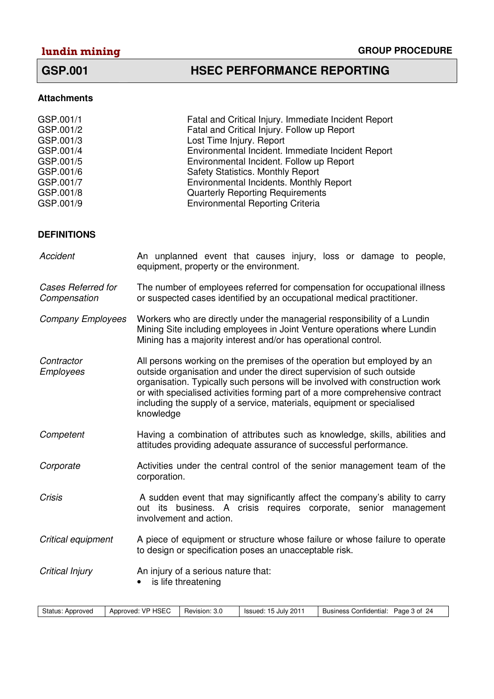## **Attachments**

| GSP.001/1 | Fatal and Critical Injury. Immediate Incident Report |
|-----------|------------------------------------------------------|
| GSP.001/2 | Fatal and Critical Injury. Follow up Report          |
| GSP.001/3 | Lost Time Injury. Report                             |
| GSP.001/4 | Environmental Incident. Immediate Incident Report    |
| GSP.001/5 | Environmental Incident. Follow up Report             |
| GSP.001/6 | <b>Safety Statistics. Monthly Report</b>             |
| GSP.001/7 | Environmental Incidents. Monthly Report              |
| GSP.001/8 | <b>Quarterly Reporting Requirements</b>              |
| GSP.001/9 | <b>Environmental Reporting Criteria</b>              |

### **DEFINITIONS**

| Accident                                  | An unplanned event that causes injury, loss or damage to people,<br>equipment, property or the environment.                                                                                                                                                                                                                                                                                             |
|-------------------------------------------|---------------------------------------------------------------------------------------------------------------------------------------------------------------------------------------------------------------------------------------------------------------------------------------------------------------------------------------------------------------------------------------------------------|
| <b>Cases Referred for</b><br>Compensation | The number of employees referred for compensation for occupational illness<br>or suspected cases identified by an occupational medical practitioner.                                                                                                                                                                                                                                                    |
| <b>Company Employees</b>                  | Workers who are directly under the managerial responsibility of a Lundin<br>Mining Site including employees in Joint Venture operations where Lundin<br>Mining has a majority interest and/or has operational control.                                                                                                                                                                                  |
| Contractor<br>Employees                   | All persons working on the premises of the operation but employed by an<br>outside organisation and under the direct supervision of such outside<br>organisation. Typically such persons will be involved with construction work<br>or with specialised activities forming part of a more comprehensive contract<br>including the supply of a service, materials, equipment or specialised<br>knowledge |
| Competent                                 | Having a combination of attributes such as knowledge, skills, abilities and<br>attitudes providing adequate assurance of successful performance.                                                                                                                                                                                                                                                        |
| Corporate                                 | Activities under the central control of the senior management team of the<br>corporation.                                                                                                                                                                                                                                                                                                               |
| Crisis                                    | A sudden event that may significantly affect the company's ability to carry<br>out its business. A crisis requires corporate, senior management<br>involvement and action.                                                                                                                                                                                                                              |
| Critical equipment                        | A piece of equipment or structure whose failure or whose failure to operate<br>to design or specification poses an unacceptable risk.                                                                                                                                                                                                                                                                   |
| Critical Injury                           | An injury of a serious nature that:<br>is life threatening                                                                                                                                                                                                                                                                                                                                              |

| Status: Approved | Approved: VP HSEC | Revision: 3.0 | $\sqrt{201}$ Issued: 15 July 201 | Business Confidential: Page 3 of 24 |
|------------------|-------------------|---------------|----------------------------------|-------------------------------------|
|------------------|-------------------|---------------|----------------------------------|-------------------------------------|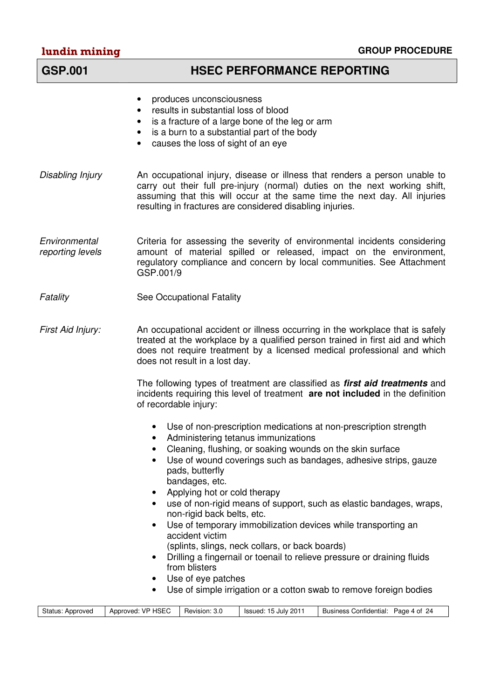|  | <b>GROUP PROCEDURE</b> |
|--|------------------------|
|--|------------------------|

### $l$ undin mining

## **GSP.001 HSEC PERFORMANCE REPORTING**

- produces unconsciousness
	- results in substantial loss of blood
- is a fracture of a large bone of the leg or arm
- is a burn to a substantial part of the body
- causes the loss of sight of an eye
- Disabling Injury **An occupational injury, disease or illness that renders a person unable to** carry out their full pre-injury (normal) duties on the next working shift, assuming that this will occur at the same time the next day. All injuries resulting in fractures are considered disabling injuries.
- **Environmental** reporting levels Criteria for assessing the severity of environmental incidents considering amount of material spilled or released, impact on the environment, regulatory compliance and concern by local communities. See Attachment GSP.001/9
- **Fatality** See Occupational Fatality
- First Aid Injury: An occupational accident or illness occurring in the workplace that is safely treated at the workplace by a qualified person trained in first aid and which does not require treatment by a licensed medical professional and which does not result in a lost day.

The following types of treatment are classified as **first aid treatments** and incidents requiring this level of treatment **are not included** in the definition of recordable injury:

- Use of non-prescription medications at non-prescription strength
- Administering tetanus immunizations
- Cleaning, flushing, or soaking wounds on the skin surface
- Use of wound coverings such as bandages, adhesive strips, gauze pads, butterfly
- bandages, etc.
- Applying hot or cold therapy
- use of non-rigid means of support, such as elastic bandages, wraps, non-rigid back belts, etc.
- Use of temporary immobilization devices while transporting an accident victim
	- (splints, slings, neck collars, or back boards)
- Drilling a fingernail or toenail to relieve pressure or draining fluids from blisters
- Use of eye patches
- Use of simple irrigation or a cotton swab to remove foreign bodies

| Status: Approved | Approved: VP HSEC | Revision: 3.0 | Issued: 15 July 2011 | Business Confidential: Page 4 of 24 |
|------------------|-------------------|---------------|----------------------|-------------------------------------|
|                  |                   |               |                      |                                     |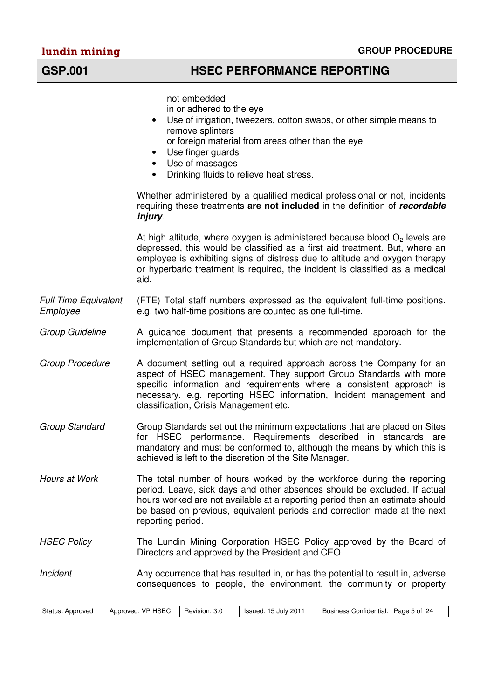|                                         | not embedded<br>in or adhered to the eye<br>Use of irrigation, tweezers, cotton swabs, or other simple means to<br>$\bullet$<br>remove splinters<br>or foreign material from areas other than the eye<br>Use finger guards<br>$\bullet$<br>Use of massages<br>$\bullet$<br>Drinking fluids to relieve heat stress.<br>$\bullet$      |  |  |  |
|-----------------------------------------|--------------------------------------------------------------------------------------------------------------------------------------------------------------------------------------------------------------------------------------------------------------------------------------------------------------------------------------|--|--|--|
|                                         | Whether administered by a qualified medical professional or not, incidents<br>requiring these treatments are not included in the definition of recordable<br><i>injury.</i>                                                                                                                                                          |  |  |  |
|                                         | At high altitude, where oxygen is administered because blood $O2$ levels are<br>depressed, this would be classified as a first aid treatment. But, where an<br>employee is exhibiting signs of distress due to altitude and oxygen therapy<br>or hyperbaric treatment is required, the incident is classified as a medical<br>aid.   |  |  |  |
| <b>Full Time Equivalent</b><br>Employee | (FTE) Total staff numbers expressed as the equivalent full-time positions.<br>e.g. two half-time positions are counted as one full-time.                                                                                                                                                                                             |  |  |  |
| <b>Group Guideline</b>                  | A guidance document that presents a recommended approach for the<br>implementation of Group Standards but which are not mandatory.                                                                                                                                                                                                   |  |  |  |
| <b>Group Procedure</b>                  | A document setting out a required approach across the Company for an<br>aspect of HSEC management. They support Group Standards with more<br>specific information and requirements where a consistent approach is<br>necessary. e.g. reporting HSEC information, Incident management and<br>classification, Crisis Management etc.   |  |  |  |
| <b>Group Standard</b>                   | Group Standards set out the minimum expectations that are placed on Sites<br>for HSEC performance. Requirements described in standards are<br>mandatory and must be conformed to, although the means by which this is<br>achieved is left to the discretion of the Site Manager.                                                     |  |  |  |
| Hours at Work                           | The total number of hours worked by the workforce during the reporting<br>period. Leave, sick days and other absences should be excluded. If actual<br>hours worked are not available at a reporting period then an estimate should<br>be based on previous, equivalent periods and correction made at the next<br>reporting period. |  |  |  |
| <b>HSEC Policy</b>                      | The Lundin Mining Corporation HSEC Policy approved by the Board of<br>Directors and approved by the President and CEO                                                                                                                                                                                                                |  |  |  |
| <b>Incident</b>                         | Any occurrence that has resulted in, or has the potential to result in, adverse<br>consequences to people, the environment, the community or property                                                                                                                                                                                |  |  |  |
| Status: Approved                        | Approved: VP HSEC<br>Business Confidential: Page 5 of 24<br>Revision: 3.0<br>Issued: 15 July 2011                                                                                                                                                                                                                                    |  |  |  |

| Status: Approved | Approved: VP HSEC | Revision: 3.0 | Issued: 15 July 2011 | Business Confidential:<br>Page 5 of 24 |
|------------------|-------------------|---------------|----------------------|----------------------------------------|
|------------------|-------------------|---------------|----------------------|----------------------------------------|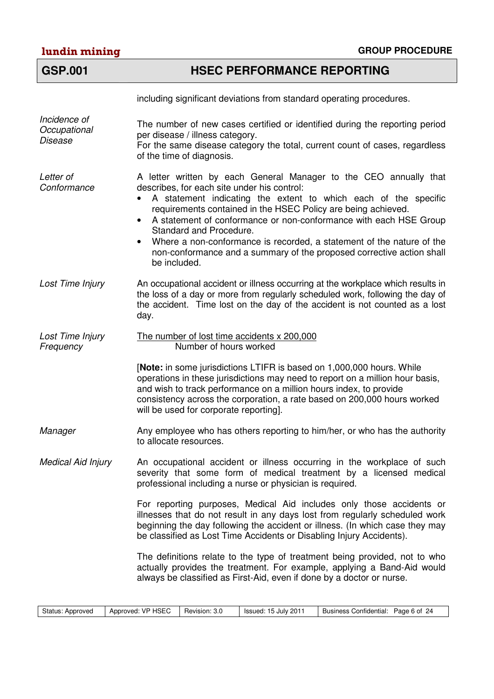| lundin mining                           | <b>GROUP PROCEDURE</b>                                                                                                                                                                                                                                                                                                                                                                                                                                                                                                                           |
|-----------------------------------------|--------------------------------------------------------------------------------------------------------------------------------------------------------------------------------------------------------------------------------------------------------------------------------------------------------------------------------------------------------------------------------------------------------------------------------------------------------------------------------------------------------------------------------------------------|
| <b>GSP.001</b>                          | <b>HSEC PERFORMANCE REPORTING</b>                                                                                                                                                                                                                                                                                                                                                                                                                                                                                                                |
|                                         | including significant deviations from standard operating procedures.                                                                                                                                                                                                                                                                                                                                                                                                                                                                             |
| Incidence of<br>Occupational<br>Disease | The number of new cases certified or identified during the reporting period<br>per disease / illness category.<br>For the same disease category the total, current count of cases, regardless<br>of the time of diagnosis.                                                                                                                                                                                                                                                                                                                       |
| Letter of<br>Conformance                | A letter written by each General Manager to the CEO annually that<br>describes, for each site under his control:<br>A statement indicating the extent to which each of the specific<br>requirements contained in the HSEC Policy are being achieved.<br>A statement of conformance or non-conformance with each HSE Group<br>$\bullet$<br>Standard and Procedure.<br>Where a non-conformance is recorded, a statement of the nature of the<br>$\bullet$<br>non-conformance and a summary of the proposed corrective action shall<br>be included. |
| Lost Time Injury                        | An occupational accident or illness occurring at the workplace which results in<br>the loss of a day or more from regularly scheduled work, following the day of<br>the accident. Time lost on the day of the accident is not counted as a lost<br>day.                                                                                                                                                                                                                                                                                          |
| Lost Time Injury<br>Frequency           | The number of lost time accidents x 200,000<br>Number of hours worked                                                                                                                                                                                                                                                                                                                                                                                                                                                                            |
|                                         | [Note: in some jurisdictions LTIFR is based on 1,000,000 hours. While<br>operations in these jurisdictions may need to report on a million hour basis,<br>and wish to track performance on a million hours index, to provide<br>consistency across the corporation, a rate based on 200,000 hours worked<br>will be used for corporate reporting].                                                                                                                                                                                               |
| Manager                                 | Any employee who has others reporting to him/her, or who has the authority<br>to allocate resources.                                                                                                                                                                                                                                                                                                                                                                                                                                             |
| <b>Medical Aid Injury</b>               | An occupational accident or illness occurring in the workplace of such<br>severity that some form of medical treatment by a licensed medical<br>professional including a nurse or physician is required.                                                                                                                                                                                                                                                                                                                                         |
|                                         | For reporting purposes, Medical Aid includes only those accidents or<br>illnesses that do not result in any days lost from regularly scheduled work<br>beginning the day following the accident or illness. (In which case they may<br>be classified as Lost Time Accidents or Disabling Injury Accidents).                                                                                                                                                                                                                                      |
|                                         | The definitions relate to the type of treatment being provided, not to who<br>actually provides the treatment. For example, applying a Band-Aid would<br>always be classified as First-Aid, even if done by a doctor or nurse.                                                                                                                                                                                                                                                                                                                   |

| Approved: VP HSEC<br>Status: Approved | Revision: 3.0 | Issued: $15$ July $201$ | Business Confidential: Page 6 of 24 |
|---------------------------------------|---------------|-------------------------|-------------------------------------|
|---------------------------------------|---------------|-------------------------|-------------------------------------|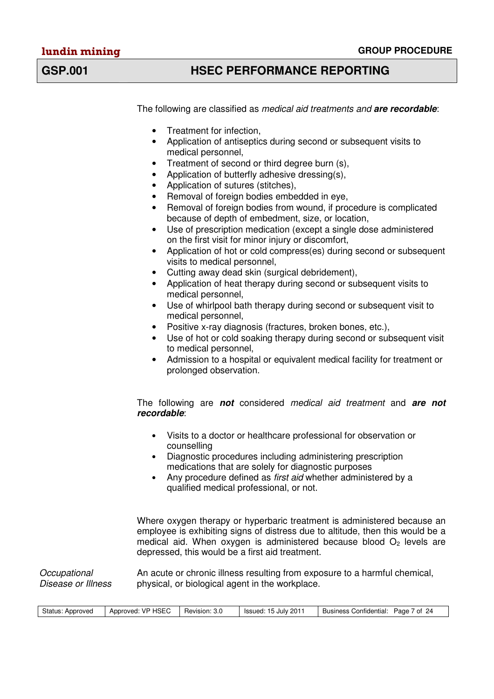The following are classified as medical aid treatments and **are recordable**:

- Treatment for infection,
- Application of antiseptics during second or subsequent visits to medical personnel,
- Treatment of second or third degree burn (s).
- Application of butterfly adhesive dressing(s),
- Application of sutures (stitches),
- Removal of foreign bodies embedded in eye,
- Removal of foreign bodies from wound, if procedure is complicated because of depth of embedment, size, or location,
- Use of prescription medication (except a single dose administered on the first visit for minor injury or discomfort,
- Application of hot or cold compress(es) during second or subsequent visits to medical personnel,
- Cutting away dead skin (surgical debridement),
- Application of heat therapy during second or subsequent visits to medical personnel,
- Use of whirlpool bath therapy during second or subsequent visit to medical personnel,
- Positive x-ray diagnosis (fractures, broken bones, etc.),
- Use of hot or cold soaking therapy during second or subsequent visit to medical personnel,
- Admission to a hospital or equivalent medical facility for treatment or prolonged observation.

The following are **not** considered medical aid treatment and **are not recordable**:

- Visits to a doctor or healthcare professional for observation or counselling
- Diagnostic procedures including administering prescription medications that are solely for diagnostic purposes
- Any procedure defined as *first aid* whether administered by a qualified medical professional, or not.

Where oxygen therapy or hyperbaric treatment is administered because an employee is exhibiting signs of distress due to altitude, then this would be a medical aid. When oxygen is administered because blood  $O<sub>2</sub>$  levels are depressed, this would be a first aid treatment.

**Occupational** Disease or Illness An acute or chronic illness resulting from exposure to a harmful chemical, physical, or biological agent in the workplace.

| Status: Approved | Approved: VP HSEC | Revision: 3.0 | Issued: 15 July 2011 | Business Confidential: Page 7 of 24 |
|------------------|-------------------|---------------|----------------------|-------------------------------------|
|                  |                   |               |                      |                                     |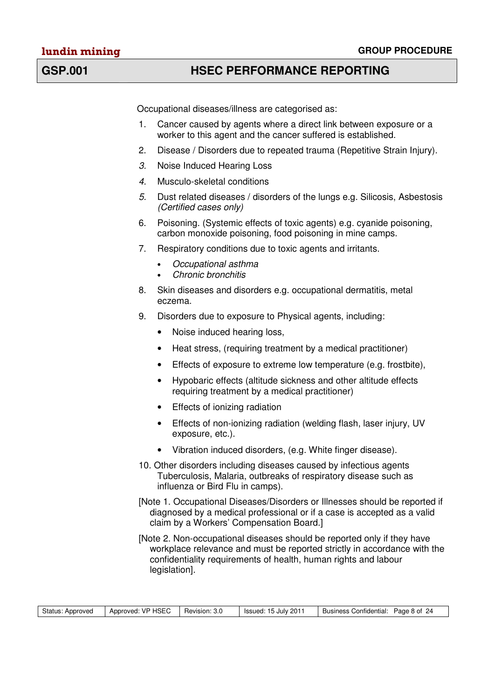Occupational diseases/illness are categorised as:

- 1. Cancer caused by agents where a direct link between exposure or a worker to this agent and the cancer suffered is established.
- 2. Disease / Disorders due to repeated trauma (Repetitive Strain Injury).
- 3. Noise Induced Hearing Loss
- 4. Musculo-skeletal conditions
- 5. Dust related diseases / disorders of the lungs e.g. Silicosis, Asbestosis (Certified cases only)
- 6. Poisoning. (Systemic effects of toxic agents) e.g. cyanide poisoning, carbon monoxide poisoning, food poisoning in mine camps.
- 7. Respiratory conditions due to toxic agents and irritants.
	- Occupational asthma
	- Chronic bronchitis
- 8. Skin diseases and disorders e.g. occupational dermatitis, metal eczema.
- 9. Disorders due to exposure to Physical agents, including:
	- Noise induced hearing loss,
	- Heat stress, (requiring treatment by a medical practitioner)
	- Effects of exposure to extreme low temperature (e.g. frostbite),
	- Hypobaric effects (altitude sickness and other altitude effects requiring treatment by a medical practitioner)
	- **Effects of ionizing radiation**
	- Effects of non-ionizing radiation (welding flash, laser injury, UV exposure, etc.).
	- Vibration induced disorders, (e.g. White finger disease).
- 10. Other disorders including diseases caused by infectious agents Tuberculosis, Malaria, outbreaks of respiratory disease such as influenza or Bird Flu in camps).
- [Note 1. Occupational Diseases/Disorders or Illnesses should be reported if diagnosed by a medical professional or if a case is accepted as a valid claim by a Workers' Compensation Board.]
- [Note 2. Non-occupational diseases should be reported only if they have workplace relevance and must be reported strictly in accordance with the confidentiality requirements of health, human rights and labour legislation].

|  | Status: Approved | Approved: VP HSEC   Revision: 3.0 |  | Issued: 15 July 2011 | Business Confidential: Page 8 of 24 |
|--|------------------|-----------------------------------|--|----------------------|-------------------------------------|
|--|------------------|-----------------------------------|--|----------------------|-------------------------------------|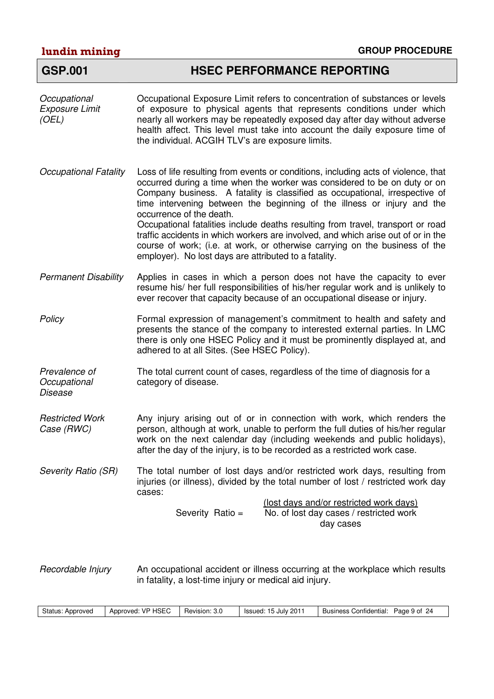| <b>GSP.001</b>                                 | <b>HSEC PERFORMANCE REPORTING</b>                                                                                                                                                                                                                                                                                                                                                                                                                                                                                                                                                                                                                                     |
|------------------------------------------------|-----------------------------------------------------------------------------------------------------------------------------------------------------------------------------------------------------------------------------------------------------------------------------------------------------------------------------------------------------------------------------------------------------------------------------------------------------------------------------------------------------------------------------------------------------------------------------------------------------------------------------------------------------------------------|
| Occupational<br><b>Exposure Limit</b><br>(OEL) | Occupational Exposure Limit refers to concentration of substances or levels<br>of exposure to physical agents that represents conditions under which<br>nearly all workers may be repeatedly exposed day after day without adverse<br>health affect. This level must take into account the daily exposure time of<br>the individual. ACGIH TLV's are exposure limits.                                                                                                                                                                                                                                                                                                 |
| <b>Occupational Fatality</b>                   | Loss of life resulting from events or conditions, including acts of violence, that<br>occurred during a time when the worker was considered to be on duty or on<br>Company business. A fatality is classified as occupational, irrespective of<br>time intervening between the beginning of the illness or injury and the<br>occurrence of the death.<br>Occupational fatalities include deaths resulting from travel, transport or road<br>traffic accidents in which workers are involved, and which arise out of or in the<br>course of work; (i.e. at work, or otherwise carrying on the business of the<br>employer). No lost days are attributed to a fatality. |
| <b>Permanent Disability</b>                    | Applies in cases in which a person does not have the capacity to ever<br>resume his/ her full responsibilities of his/her regular work and is unlikely to<br>ever recover that capacity because of an occupational disease or injury.                                                                                                                                                                                                                                                                                                                                                                                                                                 |
| Policy                                         | Formal expression of management's commitment to health and safety and<br>presents the stance of the company to interested external parties. In LMC<br>there is only one HSEC Policy and it must be prominently displayed at, and<br>adhered to at all Sites. (See HSEC Policy).                                                                                                                                                                                                                                                                                                                                                                                       |
| Prevalence of<br>Occupational<br>Disease       | The total current count of cases, regardless of the time of diagnosis for a<br>category of disease.                                                                                                                                                                                                                                                                                                                                                                                                                                                                                                                                                                   |
| <b>Restricted Work</b><br>Case (RWC)           | Any injury arising out of or in connection with work, which renders the<br>person, although at work, unable to perform the full duties of his/her regular<br>work on the next calendar day (including weekends and public holidays),<br>after the day of the injury, is to be recorded as a restricted work case.                                                                                                                                                                                                                                                                                                                                                     |
| Severity Ratio (SR)                            | The total number of lost days and/or restricted work days, resulting from<br>injuries (or illness), divided by the total number of lost / restricted work day<br>cases:                                                                                                                                                                                                                                                                                                                                                                                                                                                                                               |
|                                                | (lost days and/or restricted work days)<br>No. of lost day cases / restricted work<br>Severity Ratio =<br>day cases                                                                                                                                                                                                                                                                                                                                                                                                                                                                                                                                                   |
| Recordable Injury                              | An occupational accident or illness occurring at the workplace which results<br>in fatality, a lost-time injury or medical aid injury.                                                                                                                                                                                                                                                                                                                                                                                                                                                                                                                                |

| Status: Approved | Approved: VP HSEC | Revision:<br>.3.0 | 15 July 2011<br>Issued: | <b>Business Confidential:</b><br>Page 9 of 24 |
|------------------|-------------------|-------------------|-------------------------|-----------------------------------------------|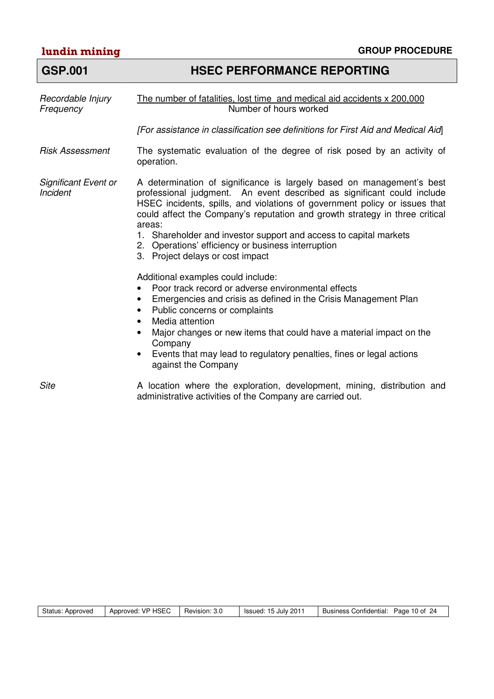| lundin mining                                  | <b>GROUP PROCEDURE</b>                                                                                                                                                                                                                                                                                                                                                                                                                                                                |
|------------------------------------------------|---------------------------------------------------------------------------------------------------------------------------------------------------------------------------------------------------------------------------------------------------------------------------------------------------------------------------------------------------------------------------------------------------------------------------------------------------------------------------------------|
| <b>GSP.001</b>                                 | <b>HSEC PERFORMANCE REPORTING</b>                                                                                                                                                                                                                                                                                                                                                                                                                                                     |
| Recordable Injury<br>Frequency                 | The number of fatalities, lost time and medical aid accidents x 200,000<br>Number of hours worked                                                                                                                                                                                                                                                                                                                                                                                     |
|                                                | [For assistance in classification see definitions for First Aid and Medical Aid]                                                                                                                                                                                                                                                                                                                                                                                                      |
| <b>Risk Assessment</b>                         | The systematic evaluation of the degree of risk posed by an activity of<br>operation.                                                                                                                                                                                                                                                                                                                                                                                                 |
| <b>Significant Event or</b><br><b>Incident</b> | A determination of significance is largely based on management's best<br>professional judgment. An event described as significant could include<br>HSEC incidents, spills, and violations of government policy or issues that<br>could affect the Company's reputation and growth strategy in three critical<br>areas:<br>1. Shareholder and investor support and access to capital markets<br>2. Operations' efficiency or business interruption<br>3. Project delays or cost impact |
|                                                | Additional examples could include:<br>Poor track record or adverse environmental effects<br>Emergencies and crisis as defined in the Crisis Management Plan<br>$\bullet$<br>Public concerns or complaints<br>$\bullet$<br>Media attention<br>$\bullet$<br>Major changes or new items that could have a material impact on the<br>Company<br>Events that may lead to regulatory penalties, fines or legal actions<br>against the Company                                               |
| Site                                           | A location where the exploration, development, mining, distribution and<br>administrative activities of the Company are carried out.                                                                                                                                                                                                                                                                                                                                                  |

| Status: Approved | Approved: VP HSEC | Revision: 3.0 | Issued: 15 July 2011 | Business Confidential: Page 10 of 24 |  |
|------------------|-------------------|---------------|----------------------|--------------------------------------|--|
|------------------|-------------------|---------------|----------------------|--------------------------------------|--|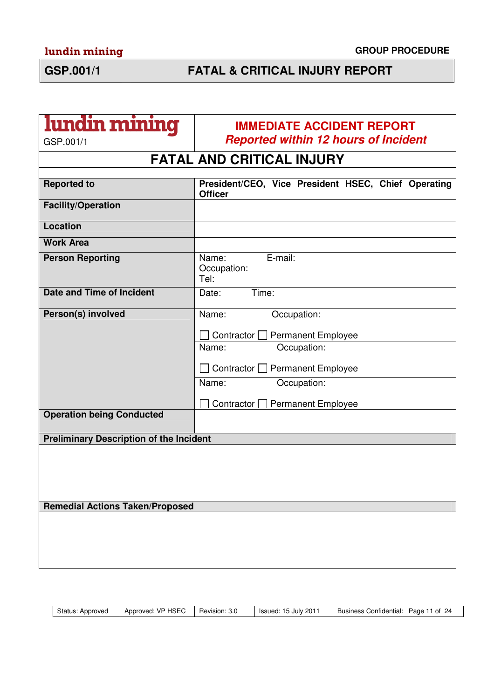# **GSP.001/1 FATAL & CRITICAL INJURY REPORT**

| lundin mining<br>GSP.001/1                             | <b>IMMEDIATE ACCIDENT REPORT</b><br><b>Reported within 12 hours of Incident</b>                                                                                                                 |  |  |  |
|--------------------------------------------------------|-------------------------------------------------------------------------------------------------------------------------------------------------------------------------------------------------|--|--|--|
|                                                        |                                                                                                                                                                                                 |  |  |  |
|                                                        | <b>FATAL AND CRITICAL INJURY</b>                                                                                                                                                                |  |  |  |
| <b>Reported to</b>                                     | President/CEO, Vice President HSEC, Chief Operating<br><b>Officer</b>                                                                                                                           |  |  |  |
| <b>Facility/Operation</b>                              |                                                                                                                                                                                                 |  |  |  |
| Location                                               |                                                                                                                                                                                                 |  |  |  |
| <b>Work Area</b>                                       |                                                                                                                                                                                                 |  |  |  |
| <b>Person Reporting</b>                                | E-mail:<br>Name:<br>Occupation:<br>Tel:                                                                                                                                                         |  |  |  |
| Date and Time of Incident                              | Time:<br>Date:                                                                                                                                                                                  |  |  |  |
| Person(s) involved<br><b>Operation being Conducted</b> | Name:<br>Occupation:<br>Contractor □ Permanent Employee<br>Occupation:<br>Name:<br>Contractor □ Permanent Employee<br>Name:<br>Occupation:<br>Contractor $\square$<br><b>Permanent Employee</b> |  |  |  |
|                                                        |                                                                                                                                                                                                 |  |  |  |
| <b>Preliminary Description of the Incident</b>         |                                                                                                                                                                                                 |  |  |  |
|                                                        |                                                                                                                                                                                                 |  |  |  |
| <b>Remedial Actions Taken/Proposed</b>                 |                                                                                                                                                                                                 |  |  |  |
|                                                        |                                                                                                                                                                                                 |  |  |  |

| Approved: VP HSEC | 15 July 201.           |
|-------------------|------------------------|
| Status: Approved  | -24                    |
| Revision: 3.0     | Page 11 of             |
| Issued:           | Business Confidential: |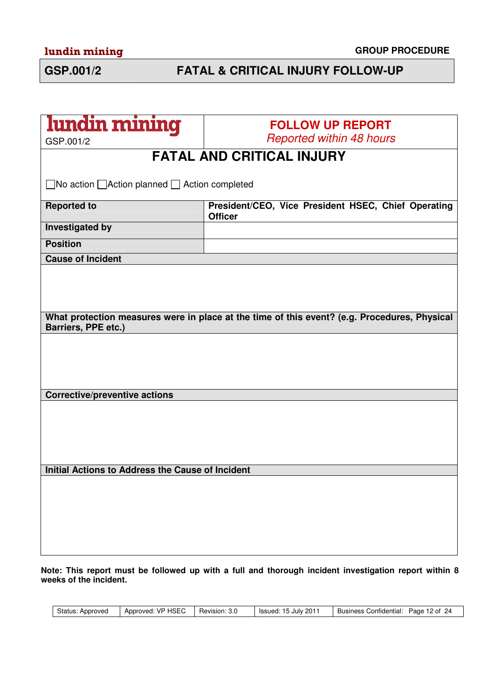# **GSP.001/2 FATAL & CRITICAL INJURY FOLLOW-UP**

| lundin mining                                                  | <b>FOLLOW UP REPORT</b><br><b>Reported within 48 hours</b>                                   |  |  |  |  |
|----------------------------------------------------------------|----------------------------------------------------------------------------------------------|--|--|--|--|
| GSP.001/2<br><b>FATAL AND CRITICAL INJURY</b>                  |                                                                                              |  |  |  |  |
|                                                                |                                                                                              |  |  |  |  |
| $\Box$ No action $\Box$ Action planned $\Box$ Action completed |                                                                                              |  |  |  |  |
| <b>Reported to</b>                                             | President/CEO, Vice President HSEC, Chief Operating<br><b>Officer</b>                        |  |  |  |  |
| <b>Investigated by</b>                                         |                                                                                              |  |  |  |  |
| <b>Position</b>                                                |                                                                                              |  |  |  |  |
| <b>Cause of Incident</b>                                       |                                                                                              |  |  |  |  |
|                                                                |                                                                                              |  |  |  |  |
|                                                                |                                                                                              |  |  |  |  |
|                                                                |                                                                                              |  |  |  |  |
|                                                                | What protection measures were in place at the time of this event? (e.g. Procedures, Physical |  |  |  |  |
| Barriers, PPE etc.)                                            |                                                                                              |  |  |  |  |
|                                                                |                                                                                              |  |  |  |  |
|                                                                |                                                                                              |  |  |  |  |
|                                                                |                                                                                              |  |  |  |  |
|                                                                |                                                                                              |  |  |  |  |
|                                                                |                                                                                              |  |  |  |  |
| <b>Corrective/preventive actions</b>                           |                                                                                              |  |  |  |  |
|                                                                |                                                                                              |  |  |  |  |
|                                                                |                                                                                              |  |  |  |  |
|                                                                |                                                                                              |  |  |  |  |
|                                                                |                                                                                              |  |  |  |  |
|                                                                |                                                                                              |  |  |  |  |
|                                                                |                                                                                              |  |  |  |  |
|                                                                |                                                                                              |  |  |  |  |
| Initial Actions to Address the Cause of Incident               |                                                                                              |  |  |  |  |
|                                                                |                                                                                              |  |  |  |  |
|                                                                |                                                                                              |  |  |  |  |
|                                                                |                                                                                              |  |  |  |  |

| Approved: VP HSEC<br>Issued: 15 July 2011<br>Revision: 3.0<br>Status: Approved | Business Confidential: Page 12 of 24 |
|--------------------------------------------------------------------------------|--------------------------------------|
|--------------------------------------------------------------------------------|--------------------------------------|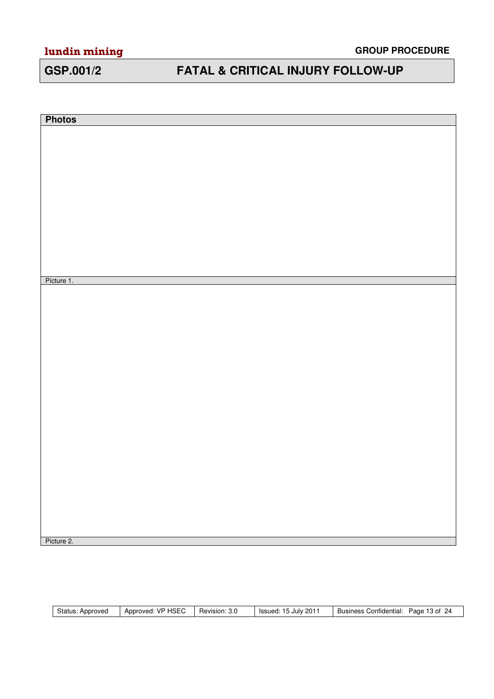# **GSP.001/2 FATAL & CRITICAL INJURY FOLLOW-UP**

| <b>Photos</b> |  |
|---------------|--|
|               |  |
|               |  |
|               |  |
|               |  |
|               |  |
|               |  |
|               |  |
|               |  |
|               |  |
|               |  |
|               |  |
|               |  |
|               |  |
|               |  |
| Picture 1.    |  |
|               |  |
|               |  |
|               |  |
|               |  |
|               |  |
|               |  |
|               |  |
|               |  |
|               |  |
|               |  |
|               |  |
|               |  |
|               |  |
|               |  |
|               |  |
|               |  |
|               |  |
|               |  |
|               |  |
|               |  |
|               |  |
|               |  |
| Picture 2.    |  |
|               |  |

| Status.<br>Approved | <b>VP HSEC</b><br>Approved: | -<br>Revision: 3.0 | 201<br>Issued:<br>, Julv | 24<br>13 of<br><b>Business</b><br>Confidential:<br>Page |
|---------------------|-----------------------------|--------------------|--------------------------|---------------------------------------------------------|
|                     |                             |                    |                          |                                                         |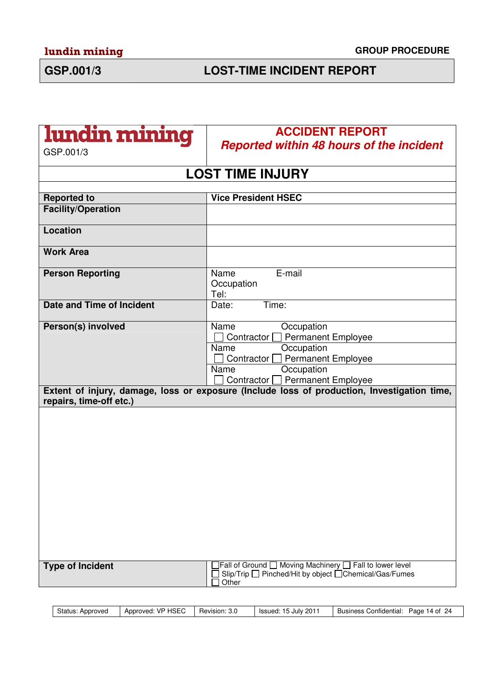# **GSP.001/3 LOST-TIME INCIDENT REPORT**

| lundin mining<br>GSP.001/3 | <b>ACCIDENT REPORT</b><br><b>Reported within 48 hours of the incident</b>                                                   |  |  |  |  |
|----------------------------|-----------------------------------------------------------------------------------------------------------------------------|--|--|--|--|
|                            |                                                                                                                             |  |  |  |  |
| <b>LOST TIME INJURY</b>    |                                                                                                                             |  |  |  |  |
| <b>Reported to</b>         | <b>Vice President HSEC</b>                                                                                                  |  |  |  |  |
| <b>Facility/Operation</b>  |                                                                                                                             |  |  |  |  |
|                            |                                                                                                                             |  |  |  |  |
| Location                   |                                                                                                                             |  |  |  |  |
| <b>Work Area</b>           |                                                                                                                             |  |  |  |  |
| <b>Person Reporting</b>    | E-mail<br>Name<br>Occupation<br>Tel:                                                                                        |  |  |  |  |
| Date and Time of Incident  | Time:<br>Date:                                                                                                              |  |  |  |  |
| Person(s) involved         | Name<br>Occupation<br><b>Permanent Employee</b><br>Contractor $\Box$                                                        |  |  |  |  |
|                            | Name<br>Occupation<br><b>Permanent Employee</b><br>Contractor  <br>Name<br>Occupation                                       |  |  |  |  |
|                            | Contractor □ Permanent Employee                                                                                             |  |  |  |  |
| repairs, time-off etc.)    | Extent of injury, damage, loss or exposure (Include loss of production, Investigation time,                                 |  |  |  |  |
|                            |                                                                                                                             |  |  |  |  |
|                            |                                                                                                                             |  |  |  |  |
|                            |                                                                                                                             |  |  |  |  |
|                            |                                                                                                                             |  |  |  |  |
|                            |                                                                                                                             |  |  |  |  |
|                            |                                                                                                                             |  |  |  |  |
|                            |                                                                                                                             |  |  |  |  |
|                            |                                                                                                                             |  |  |  |  |
|                            |                                                                                                                             |  |  |  |  |
|                            |                                                                                                                             |  |  |  |  |
|                            |                                                                                                                             |  |  |  |  |
|                            |                                                                                                                             |  |  |  |  |
| <b>Type of Incident</b>    | ]Fall of Ground □ Moving Machinery □ Fall to lower level<br>Slip/Trip □ Pinched/Hit by object □ Chemical/Gas/Fumes<br>Other |  |  |  |  |
|                            |                                                                                                                             |  |  |  |  |

|--|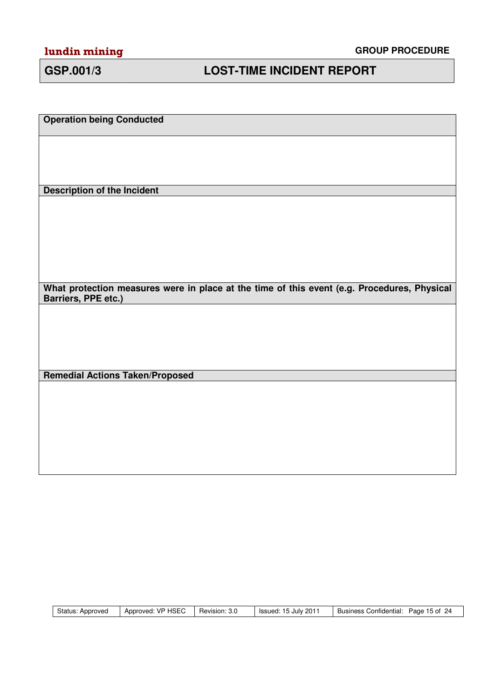## **GSP.001/3 LOST-TIME INCIDENT REPORT**

**Operation being Conducted**

**Description of the Incident**

**What protection measures were in place at the time of this event (e.g. Procedures, Physical Barriers, PPE etc.)**

**Remedial Actions Taken/Proposed**

| Approved: VP HSEC<br>Issued: 15 July 2011<br>Business Confidential: Page 15 of 24<br>Revision: 3.0<br>Status: Approved |  |
|------------------------------------------------------------------------------------------------------------------------|--|
|------------------------------------------------------------------------------------------------------------------------|--|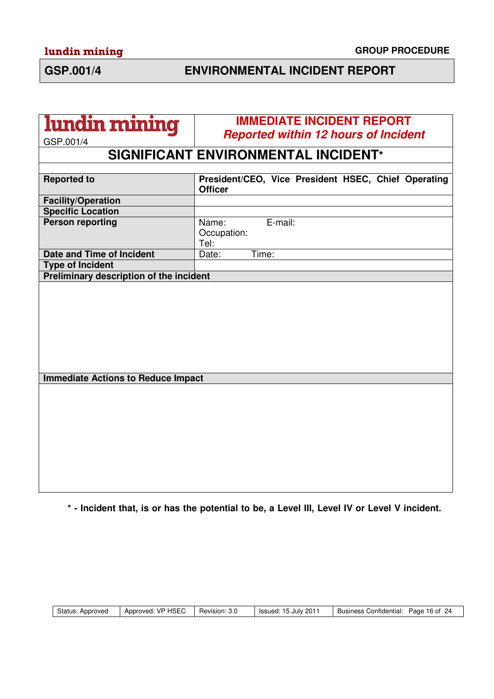# **GSP.001/4 ENVIRONMENTAL INCIDENT REPORT**

| lundin mining                             | <b>IMMEDIATE INCIDENT REPORT</b>                                      |  |  |  |  |  |
|-------------------------------------------|-----------------------------------------------------------------------|--|--|--|--|--|
| GSP.001/4                                 | <b>Reported within 12 hours of Incident</b>                           |  |  |  |  |  |
| SIGNIFICANT ENVIRONMENTAL INCIDENT*       |                                                                       |  |  |  |  |  |
|                                           |                                                                       |  |  |  |  |  |
| <b>Reported to</b>                        | President/CEO, Vice President HSEC, Chief Operating<br><b>Officer</b> |  |  |  |  |  |
| <b>Facility/Operation</b>                 |                                                                       |  |  |  |  |  |
| <b>Specific Location</b>                  |                                                                       |  |  |  |  |  |
| <b>Person reporting</b>                   | E-mail:<br>Name:<br>Occupation:<br>Tel:                               |  |  |  |  |  |
| Date and Time of Incident                 | Date:<br>Time:                                                        |  |  |  |  |  |
| <b>Type of Incident</b>                   |                                                                       |  |  |  |  |  |
| Preliminary description of the incident   |                                                                       |  |  |  |  |  |
| <b>Immediate Actions to Reduce Impact</b> |                                                                       |  |  |  |  |  |
|                                           |                                                                       |  |  |  |  |  |
|                                           |                                                                       |  |  |  |  |  |

**\* - Incident that, is or has the potential to be, a Level III, Level IV or Level V incident.**

| Approved: VP HSEC   Revision: 3.0 | Status: Approved |  |  | Issued: 15 July 2011 | Business Confidential: Page 16 of 24 |
|-----------------------------------|------------------|--|--|----------------------|--------------------------------------|
|-----------------------------------|------------------|--|--|----------------------|--------------------------------------|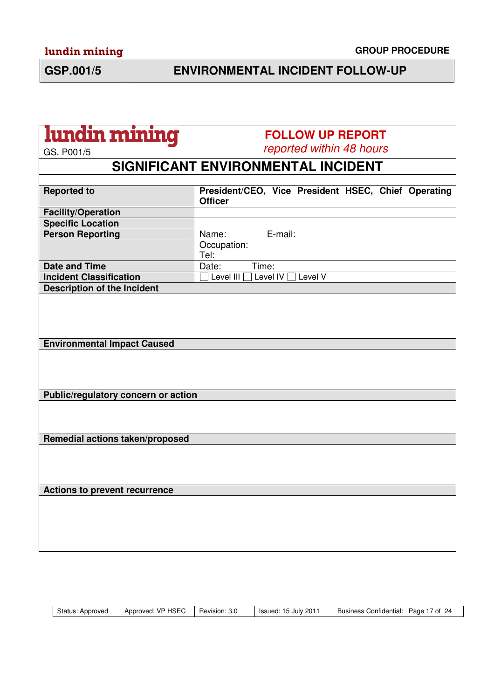# **GSP.001/5 ENVIRONMENTAL INCIDENT FOLLOW-UP**

| lundin mining                        |                                                                       |  |  |  |  |  |
|--------------------------------------|-----------------------------------------------------------------------|--|--|--|--|--|
| <b>FOLLOW UP REPORT</b>              |                                                                       |  |  |  |  |  |
| GS. P001/5                           | reported within 48 hours                                              |  |  |  |  |  |
| SIGNIFICANT ENVIRONMENTAL INCIDENT   |                                                                       |  |  |  |  |  |
|                                      |                                                                       |  |  |  |  |  |
| <b>Reported to</b>                   | President/CEO, Vice President HSEC, Chief Operating<br><b>Officer</b> |  |  |  |  |  |
| <b>Facility/Operation</b>            |                                                                       |  |  |  |  |  |
| <b>Specific Location</b>             |                                                                       |  |  |  |  |  |
| <b>Person Reporting</b>              | E-mail:<br>Name:<br>Occupation:<br>Tel:                               |  |  |  |  |  |
| <b>Date and Time</b>                 | Date:<br>Time:                                                        |  |  |  |  |  |
| <b>Incident Classification</b>       | Level IV □ Level V<br>Level III                                       |  |  |  |  |  |
| <b>Description of the Incident</b>   |                                                                       |  |  |  |  |  |
| <b>Environmental Impact Caused</b>   |                                                                       |  |  |  |  |  |
| Public/regulatory concern or action  |                                                                       |  |  |  |  |  |
| Remedial actions taken/proposed      |                                                                       |  |  |  |  |  |
|                                      |                                                                       |  |  |  |  |  |
| <b>Actions to prevent recurrence</b> |                                                                       |  |  |  |  |  |
|                                      |                                                                       |  |  |  |  |  |

| Status:<br>Approved | Approved: VP HSEC | Revision: 3.0 | 201<br>lssued: 15 July : | -24<br>Business Confidential:<br>7 of l<br>Page 1 |
|---------------------|-------------------|---------------|--------------------------|---------------------------------------------------|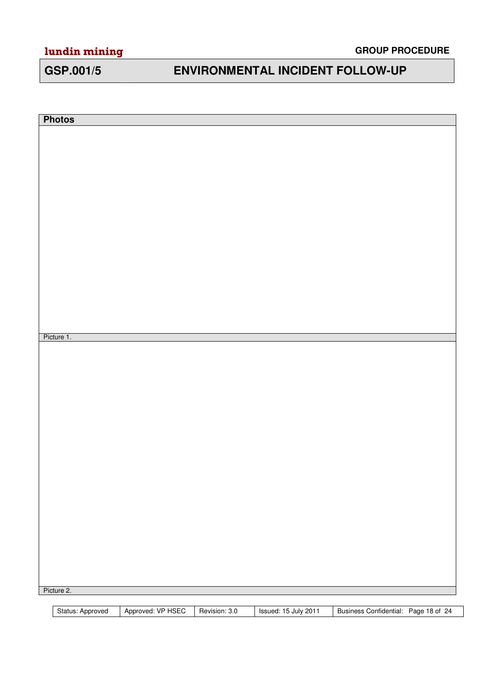## **GSP.001/5 ENVIRONMENTAL INCIDENT FOLLOW-UP**

| <b>Photos</b>    |                   |               |                      |                                      |  |
|------------------|-------------------|---------------|----------------------|--------------------------------------|--|
|                  |                   |               |                      |                                      |  |
|                  |                   |               |                      |                                      |  |
|                  |                   |               |                      |                                      |  |
|                  |                   |               |                      |                                      |  |
|                  |                   |               |                      |                                      |  |
|                  |                   |               |                      |                                      |  |
|                  |                   |               |                      |                                      |  |
|                  |                   |               |                      |                                      |  |
|                  |                   |               |                      |                                      |  |
|                  |                   |               |                      |                                      |  |
|                  |                   |               |                      |                                      |  |
|                  |                   |               |                      |                                      |  |
|                  |                   |               |                      |                                      |  |
|                  |                   |               |                      |                                      |  |
|                  |                   |               |                      |                                      |  |
|                  |                   |               |                      |                                      |  |
| Picture 1.       |                   |               |                      |                                      |  |
|                  |                   |               |                      |                                      |  |
|                  |                   |               |                      |                                      |  |
|                  |                   |               |                      |                                      |  |
|                  |                   |               |                      |                                      |  |
|                  |                   |               |                      |                                      |  |
|                  |                   |               |                      |                                      |  |
|                  |                   |               |                      |                                      |  |
|                  |                   |               |                      |                                      |  |
|                  |                   |               |                      |                                      |  |
|                  |                   |               |                      |                                      |  |
|                  |                   |               |                      |                                      |  |
|                  |                   |               |                      |                                      |  |
|                  |                   |               |                      |                                      |  |
|                  |                   |               |                      |                                      |  |
|                  |                   |               |                      |                                      |  |
|                  |                   |               |                      |                                      |  |
|                  |                   |               |                      |                                      |  |
|                  |                   |               |                      |                                      |  |
| Picture 2.       |                   |               |                      |                                      |  |
|                  |                   |               |                      |                                      |  |
| Status: Approved | Approved: VP HSEC | Revision: 3.0 | Issued: 15 July 2011 | Business Confidential: Page 18 of 24 |  |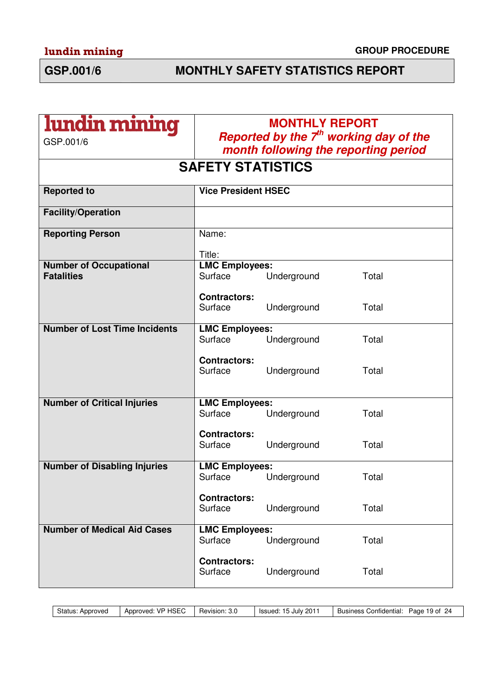## **GSP.001/6 MONTHLY SAFETY STATISTICS REPORT**

| lundin mining<br>GSP.001/6                         | <b>MONTHLY REPORT</b><br>Reported by the 7 <sup>th</sup> working day of the<br>month following the reporting period |             |       |  |  |
|----------------------------------------------------|---------------------------------------------------------------------------------------------------------------------|-------------|-------|--|--|
| <b>SAFETY STATISTICS</b>                           |                                                                                                                     |             |       |  |  |
| <b>Reported to</b>                                 | <b>Vice President HSEC</b>                                                                                          |             |       |  |  |
| <b>Facility/Operation</b>                          |                                                                                                                     |             |       |  |  |
| <b>Reporting Person</b>                            | Name:                                                                                                               |             |       |  |  |
|                                                    | Title:                                                                                                              |             |       |  |  |
| <b>Number of Occupational</b><br><b>Fatalities</b> | <b>LMC Employees:</b><br>Surface                                                                                    | Underground | Total |  |  |
|                                                    | <b>Contractors:</b>                                                                                                 |             |       |  |  |
|                                                    | Surface                                                                                                             | Underground | Total |  |  |
| <b>Number of Lost Time Incidents</b>               | <b>LMC Employees:</b>                                                                                               |             |       |  |  |
|                                                    | Surface                                                                                                             | Underground | Total |  |  |
|                                                    | <b>Contractors:</b><br>Surface                                                                                      | Underground | Total |  |  |
| <b>Number of Critical Injuries</b>                 | <b>LMC Employees:</b>                                                                                               |             |       |  |  |
|                                                    | Surface                                                                                                             | Underground | Total |  |  |
|                                                    | <b>Contractors:</b><br>Surface                                                                                      | Underground | Total |  |  |
| <b>Number of Disabling Injuries</b>                | <b>LMC Employees:</b><br>Surface                                                                                    | Underground | Total |  |  |
|                                                    | <b>Contractors:</b><br>Surface                                                                                      | Underground | Total |  |  |
| <b>Number of Medical Aid Cases</b>                 | <b>LMC Employees:</b><br>Surface                                                                                    | Underground | Total |  |  |
|                                                    |                                                                                                                     |             |       |  |  |
|                                                    | <b>Contractors:</b><br>Surface                                                                                      | Underground | Total |  |  |

| Status: Approved | Approved: VP HSEC   Revision: 3.0 | Issued: 15 July 2011 | Business Confidential: Page 19 of 24 |
|------------------|-----------------------------------|----------------------|--------------------------------------|
|                  |                                   |                      |                                      |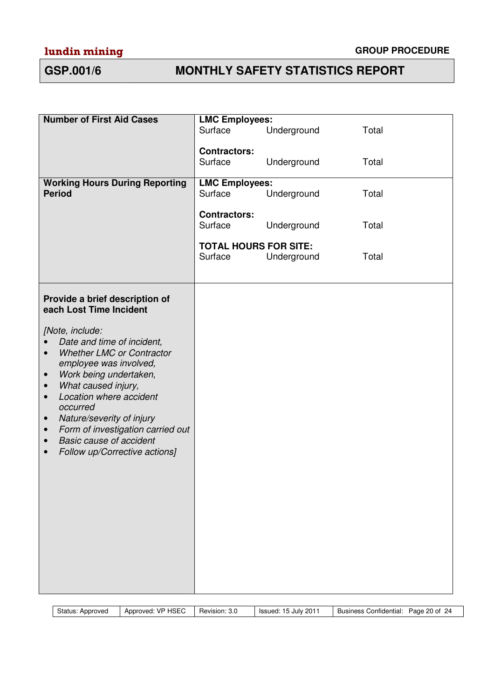# lundin mining **GROUP PROCEDURE**

## **GSP.001/6 MONTHLY SAFETY STATISTICS REPORT**

| <b>Number of First Aid Cases</b><br><b>LMC Employees:</b><br>Total<br>Surface<br>Underground<br><b>Contractors:</b><br>Surface<br>Underground<br>Total<br><b>Working Hours During Reporting</b><br><b>LMC Employees:</b><br>Total<br><b>Period</b><br>Surface<br>Underground<br><b>Contractors:</b><br>Total<br>Surface<br>Underground                                                                                                                                                                        |  |
|---------------------------------------------------------------------------------------------------------------------------------------------------------------------------------------------------------------------------------------------------------------------------------------------------------------------------------------------------------------------------------------------------------------------------------------------------------------------------------------------------------------|--|
|                                                                                                                                                                                                                                                                                                                                                                                                                                                                                                               |  |
|                                                                                                                                                                                                                                                                                                                                                                                                                                                                                                               |  |
|                                                                                                                                                                                                                                                                                                                                                                                                                                                                                                               |  |
|                                                                                                                                                                                                                                                                                                                                                                                                                                                                                                               |  |
|                                                                                                                                                                                                                                                                                                                                                                                                                                                                                                               |  |
| <b>TOTAL HOURS FOR SITE:</b>                                                                                                                                                                                                                                                                                                                                                                                                                                                                                  |  |
| Surface<br>Total<br>Underground                                                                                                                                                                                                                                                                                                                                                                                                                                                                               |  |
|                                                                                                                                                                                                                                                                                                                                                                                                                                                                                                               |  |
| Provide a brief description of<br>each Lost Time Incident<br>[Note, include:<br>Date and time of incident,<br><b>Whether LMC or Contractor</b><br>$\bullet$<br>employee was involved,<br>Work being undertaken,<br>$\bullet$<br>What caused injury,<br>$\bullet$<br>Location where accident<br>$\bullet$<br>occurred<br>Nature/severity of injury<br>$\bullet$<br>Form of investigation carried out<br>$\bullet$<br><b>Basic cause of accident</b><br>$\bullet$<br>Follow up/Corrective actions]<br>$\bullet$ |  |

| Status: Approved | Approved: VP HSEC   Revision: 3.0 | Issued: 15 July 2011 | Business Confidential: Page 20 of 24 |
|------------------|-----------------------------------|----------------------|--------------------------------------|
|                  |                                   |                      |                                      |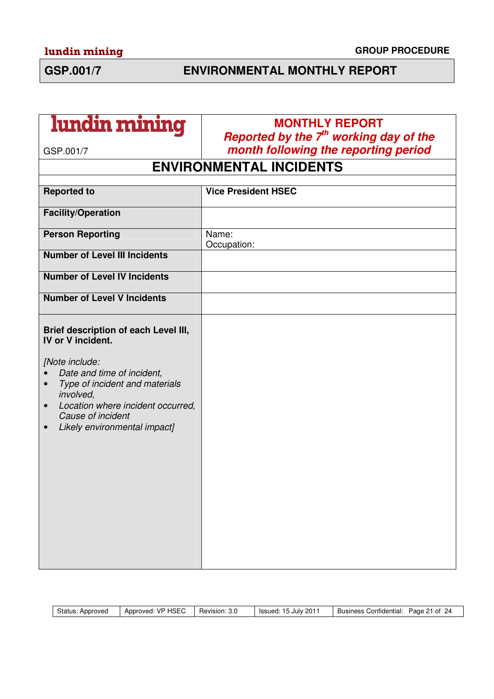## **GSP.001/7 ENVIRONMENTAL MONTHLY REPORT**

| lundin mining                                                                                                                                                                                                                                                   | <b>MONTHLY REPORT</b><br>Reported by the $7th$ working day of the |  |  |  |  |
|-----------------------------------------------------------------------------------------------------------------------------------------------------------------------------------------------------------------------------------------------------------------|-------------------------------------------------------------------|--|--|--|--|
| GSP.001/7                                                                                                                                                                                                                                                       | month following the reporting period                              |  |  |  |  |
| <b>ENVIRONMENTAL INCIDENTS</b>                                                                                                                                                                                                                                  |                                                                   |  |  |  |  |
|                                                                                                                                                                                                                                                                 |                                                                   |  |  |  |  |
| <b>Reported to</b>                                                                                                                                                                                                                                              | <b>Vice President HSEC</b>                                        |  |  |  |  |
| <b>Facility/Operation</b>                                                                                                                                                                                                                                       |                                                                   |  |  |  |  |
| <b>Person Reporting</b>                                                                                                                                                                                                                                         | Name:<br>Occupation:                                              |  |  |  |  |
| <b>Number of Level III Incidents</b>                                                                                                                                                                                                                            |                                                                   |  |  |  |  |
| <b>Number of Level IV Incidents</b>                                                                                                                                                                                                                             |                                                                   |  |  |  |  |
| <b>Number of Level V Incidents</b>                                                                                                                                                                                                                              |                                                                   |  |  |  |  |
| Brief description of each Level III,<br>IV or V incident.<br>[Note include:<br>Date and time of incident,<br>Type of incident and materials<br>involved,<br>Location where incident occurred,<br>$\bullet$<br>Cause of incident<br>Likely environmental impact] |                                                                   |  |  |  |  |

| Status: Approved | Approved: VP HSEC | Revision: 3.0 | Issued: 15 July 2011 | <b>Business Confidential:</b><br>Page 21 of 24 |
|------------------|-------------------|---------------|----------------------|------------------------------------------------|
|                  |                   |               |                      |                                                |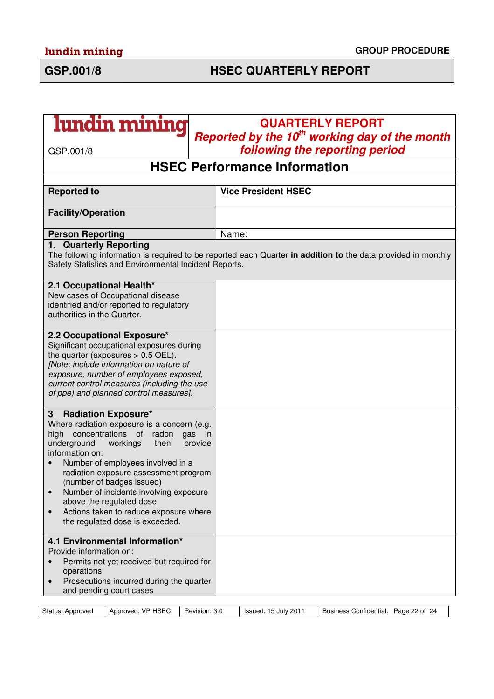## **GSP.001/8 HSEC QUARTERLY REPORT**

| lundin mining                                                                                                                                                                                                                                                                                                                                                                                                                                                                |                   |       | Reported by the 10 <sup>th</sup> working day of the month | <b>QUARTERLY REPORT</b>              |  |
|------------------------------------------------------------------------------------------------------------------------------------------------------------------------------------------------------------------------------------------------------------------------------------------------------------------------------------------------------------------------------------------------------------------------------------------------------------------------------|-------------------|-------|-----------------------------------------------------------|--------------------------------------|--|
| GSP.001/8                                                                                                                                                                                                                                                                                                                                                                                                                                                                    |                   |       | following the reporting period                            |                                      |  |
| <b>HSEC Performance Information</b>                                                                                                                                                                                                                                                                                                                                                                                                                                          |                   |       |                                                           |                                      |  |
|                                                                                                                                                                                                                                                                                                                                                                                                                                                                              |                   |       |                                                           |                                      |  |
| <b>Reported to</b>                                                                                                                                                                                                                                                                                                                                                                                                                                                           |                   |       | <b>Vice President HSEC</b>                                |                                      |  |
| <b>Facility/Operation</b>                                                                                                                                                                                                                                                                                                                                                                                                                                                    |                   |       |                                                           |                                      |  |
| <b>Person Reporting</b>                                                                                                                                                                                                                                                                                                                                                                                                                                                      |                   | Name: |                                                           |                                      |  |
| 1. Quarterly Reporting<br>The following information is required to be reported each Quarter in addition to the data provided in monthly<br>Safety Statistics and Environmental Incident Reports.                                                                                                                                                                                                                                                                             |                   |       |                                                           |                                      |  |
| 2.1 Occupational Health*<br>New cases of Occupational disease<br>identified and/or reported to regulatory<br>authorities in the Quarter.                                                                                                                                                                                                                                                                                                                                     |                   |       |                                                           |                                      |  |
| 2.2 Occupational Exposure*<br>Significant occupational exposures during<br>the quarter (exposures $> 0.5$ OEL).<br>[Note: include information on nature of<br>exposure, number of employees exposed,<br>current control measures (including the use<br>of ppe) and planned control measures].                                                                                                                                                                                |                   |       |                                                           |                                      |  |
| 3<br><b>Radiation Exposure*</b><br>Where radiation exposure is a concern (e.g.<br>high concentrations of<br>radon<br>underground<br>workings<br>then<br>information on:<br>Number of employees involved in a<br>$\bullet$<br>radiation exposure assessment program<br>(number of badges issued)<br>Number of incidents involving exposure<br>$\bullet$<br>above the regulated dose<br>Actions taken to reduce exposure where<br>$\bullet$<br>the regulated dose is exceeded. | gas in<br>provide |       |                                                           |                                      |  |
| 4.1 Environmental Information*<br>Provide information on:<br>Permits not yet received but required for<br>operations<br>Prosecutions incurred during the quarter<br>$\bullet$<br>and pending court cases                                                                                                                                                                                                                                                                     |                   |       |                                                           |                                      |  |
| Status: Approved<br>Approved: VP HSEC                                                                                                                                                                                                                                                                                                                                                                                                                                        | Revision: 3.0     |       | Issued: 15 July 2011                                      | Business Confidential: Page 22 of 24 |  |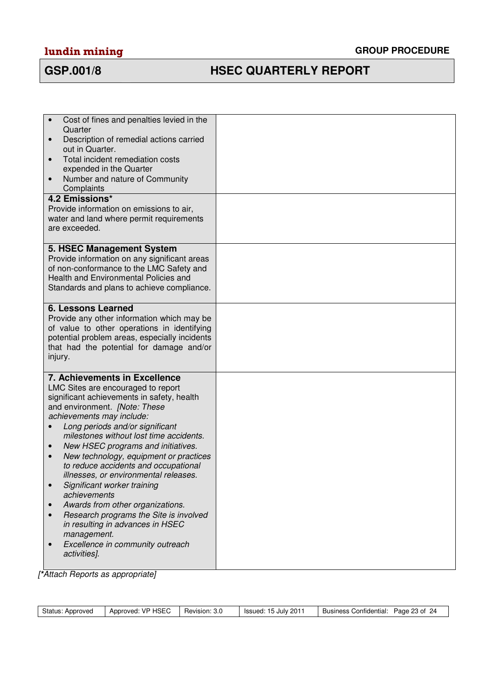# lundin mining **GROUP PROCEDURE**

## **GSP.001/8 HSEC QUARTERLY REPORT**

| Cost of fines and penalties levied in the<br>$\bullet$<br>Quarter<br>Description of remedial actions carried<br>out in Quarter.<br>Total incident remediation costs<br>$\bullet$<br>expended in the Quarter<br>Number and nature of Community<br>$\bullet$<br>Complaints<br>4.2 Emissions*<br>Provide information on emissions to air,<br>water and land where permit requirements<br>are exceeded.                                                                                                                                                                                                                                                                             |  |
|---------------------------------------------------------------------------------------------------------------------------------------------------------------------------------------------------------------------------------------------------------------------------------------------------------------------------------------------------------------------------------------------------------------------------------------------------------------------------------------------------------------------------------------------------------------------------------------------------------------------------------------------------------------------------------|--|
| 5. HSEC Management System<br>Provide information on any significant areas<br>of non-conformance to the LMC Safety and<br>Health and Environmental Policies and<br>Standards and plans to achieve compliance.                                                                                                                                                                                                                                                                                                                                                                                                                                                                    |  |
| <b>6. Lessons Learned</b><br>Provide any other information which may be<br>of value to other operations in identifying<br>potential problem areas, especially incidents<br>that had the potential for damage and/or<br>injury.                                                                                                                                                                                                                                                                                                                                                                                                                                                  |  |
| 7. Achievements in Excellence<br>LMC Sites are encouraged to report<br>significant achievements in safety, health<br>and environment. [Note: These<br>achievements may include:<br>Long periods and/or significant<br>milestones without lost time accidents.<br>New HSEC programs and initiatives.<br>New technology, equipment or practices<br>$\bullet$<br>to reduce accidents and occupational<br>illnesses, or environmental releases.<br>Significant worker training<br>achievements<br>Awards from other organizations.<br>Research programs the Site is involved<br>in resulting in advances in HSEC<br>management.<br>Excellence in community outreach<br>activities]. |  |

[**\***Attach Reports as appropriate]

|  | Status: Approved | Approved: VP HSEC   Revision: 3.0 |  | Issued: 15 July 2011 | Business Confidential: Page 23 of 24 |
|--|------------------|-----------------------------------|--|----------------------|--------------------------------------|
|--|------------------|-----------------------------------|--|----------------------|--------------------------------------|